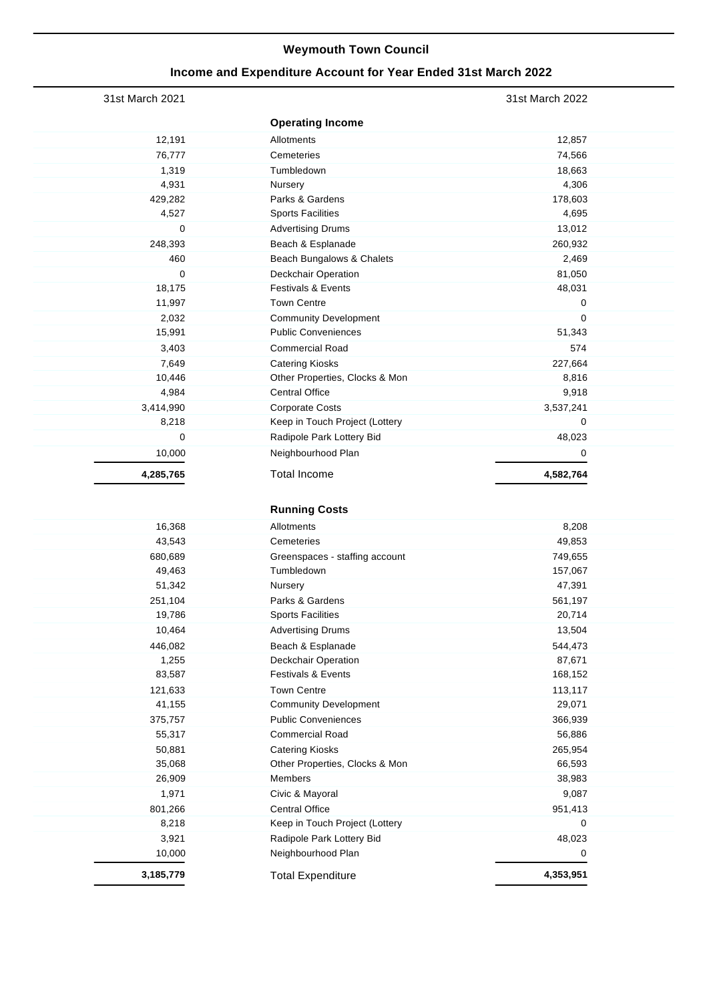## **Weymouth Town Council**

## **Income and Expenditure Account for Year Ended 31st March 2022**

| 12,857<br>74,566<br>18,663<br>4,306<br>178,603<br>4,695<br>13,012<br>260,932<br>2,469<br>81,050<br>48,031<br>0<br>0<br>51,343<br>574<br>227,664<br>8,816<br>9,918<br>3,537,241<br>0<br>48,023 |
|-----------------------------------------------------------------------------------------------------------------------------------------------------------------------------------------------|
|                                                                                                                                                                                               |
|                                                                                                                                                                                               |
|                                                                                                                                                                                               |
|                                                                                                                                                                                               |
|                                                                                                                                                                                               |
|                                                                                                                                                                                               |
|                                                                                                                                                                                               |
|                                                                                                                                                                                               |
|                                                                                                                                                                                               |
|                                                                                                                                                                                               |
|                                                                                                                                                                                               |
|                                                                                                                                                                                               |
|                                                                                                                                                                                               |
|                                                                                                                                                                                               |
|                                                                                                                                                                                               |
|                                                                                                                                                                                               |
|                                                                                                                                                                                               |
|                                                                                                                                                                                               |
|                                                                                                                                                                                               |
|                                                                                                                                                                                               |
|                                                                                                                                                                                               |
|                                                                                                                                                                                               |
| 0                                                                                                                                                                                             |
| 4,582,764                                                                                                                                                                                     |
|                                                                                                                                                                                               |
|                                                                                                                                                                                               |
| 8,208                                                                                                                                                                                         |
| 49,853                                                                                                                                                                                        |
| 749,655                                                                                                                                                                                       |
| 157,067                                                                                                                                                                                       |
| 47,391                                                                                                                                                                                        |
| 561,197                                                                                                                                                                                       |
| 20,714                                                                                                                                                                                        |
| 13,504                                                                                                                                                                                        |
| 544,473                                                                                                                                                                                       |
| 87,671                                                                                                                                                                                        |
| 168,152                                                                                                                                                                                       |
| 113,117                                                                                                                                                                                       |
| 29,071                                                                                                                                                                                        |
| 366,939                                                                                                                                                                                       |
| 56,886                                                                                                                                                                                        |
| 265,954                                                                                                                                                                                       |
| 66,593                                                                                                                                                                                        |
| 38,983                                                                                                                                                                                        |
| 9,087                                                                                                                                                                                         |
| 951,413                                                                                                                                                                                       |
| 0                                                                                                                                                                                             |
|                                                                                                                                                                                               |
| 48,023                                                                                                                                                                                        |
| 0                                                                                                                                                                                             |
|                                                                                                                                                                                               |